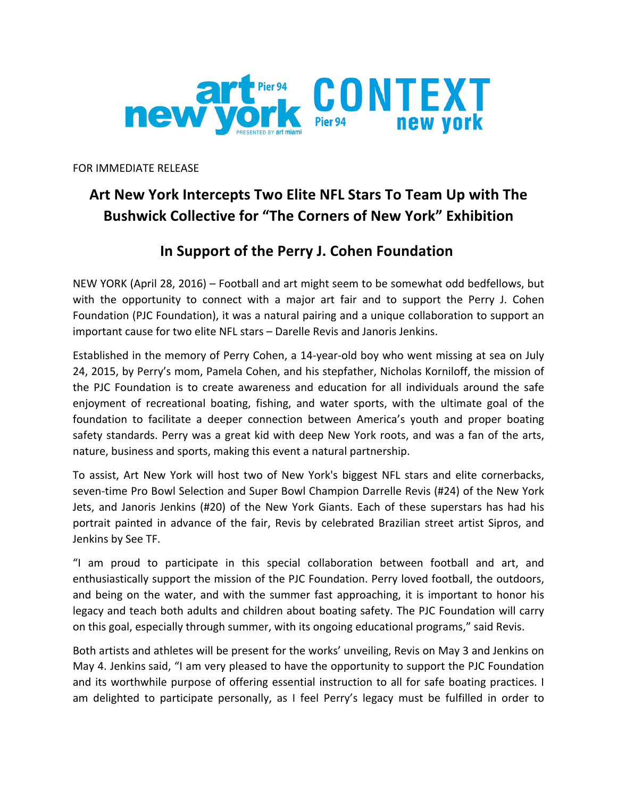

FOR IMMEDIATE RELEASE

## Art New York Intercepts Two Elite NFL Stars To Team Up with The **Bushwick Collective for "The Corners of New York" Exhibition**

## **In Support of the Perry J. Cohen Foundation**

NEW YORK (April 28, 2016) – Football and art might seem to be somewhat odd bedfellows, but with the opportunity to connect with a major art fair and to support the Perry J. Cohen Foundation (PJC Foundation), it was a natural pairing and a unique collaboration to support an important cause for two elite NFL stars - Darelle Revis and Janoris Jenkins.

Established in the memory of Perry Cohen, a 14-year-old boy who went missing at sea on July 24, 2015, by Perry's mom, Pamela Cohen, and his stepfather, Nicholas Korniloff, the mission of the PJC Foundation is to create awareness and education for all individuals around the safe enjoyment of recreational boating, fishing, and water sports, with the ultimate goal of the foundation to facilitate a deeper connection between America's youth and proper boating safety standards. Perry was a great kid with deep New York roots, and was a fan of the arts, nature, business and sports, making this event a natural partnership.

To assist, Art New York will host two of New York's biggest NFL stars and elite cornerbacks, seven-time Pro Bowl Selection and Super Bowl Champion Darrelle Revis (#24) of the New York Jets, and Janoris Jenkins (#20) of the New York Giants. Each of these superstars has had his portrait painted in advance of the fair, Revis by celebrated Brazilian street artist Sipros, and Jenkins by See TF.

"I am proud to participate in this special collaboration between football and art, and enthusiastically support the mission of the PJC Foundation. Perry loved football, the outdoors, and being on the water, and with the summer fast approaching, it is important to honor his legacy and teach both adults and children about boating safety. The PJC Foundation will carry on this goal, especially through summer, with its ongoing educational programs," said Revis.

Both artists and athletes will be present for the works' unveiling, Revis on May 3 and Jenkins on May 4. Jenkins said, "I am very pleased to have the opportunity to support the PJC Foundation and its worthwhile purpose of offering essential instruction to all for safe boating practices. I am delighted to participate personally, as I feel Perry's legacy must be fulfilled in order to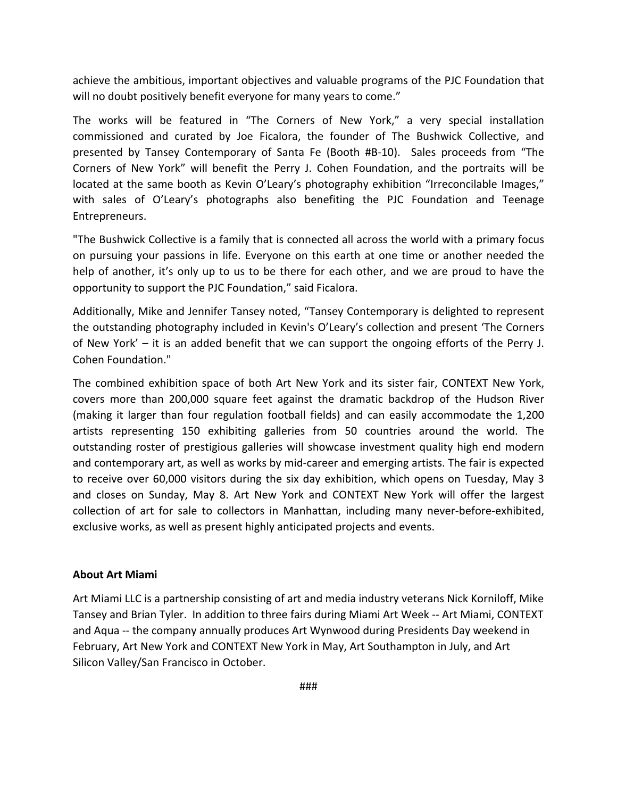achieve the ambitious, important objectives and valuable programs of the PJC Foundation that will no doubt positively benefit everyone for many years to come."

The works will be featured in "The Corners of New York," a very special installation commissioned and curated by Joe Ficalora, the founder of The Bushwick Collective, and presented by Tansey Contemporary of Santa Fe (Booth #B-10). Sales proceeds from "The Corners of New York" will benefit the Perry J. Cohen Foundation, and the portraits will be located at the same booth as Kevin O'Leary's photography exhibition "Irreconcilable Images," with sales of O'Leary's photographs also benefiting the PJC Foundation and Teenage Entrepreneurs.

"The Bushwick Collective is a family that is connected all across the world with a primary focus on pursuing your passions in life. Everyone on this earth at one time or another needed the help of another, it's only up to us to be there for each other, and we are proud to have the opportunity to support the PJC Foundation," said Ficalora.

Additionally, Mike and Jennifer Tansey noted, "Tansey Contemporary is delighted to represent the outstanding photography included in Kevin's O'Leary's collection and present 'The Corners of New York' – it is an added benefit that we can support the ongoing efforts of the Perry J. Cohen Foundation."

The combined exhibition space of both Art New York and its sister fair, CONTEXT New York, covers more than 200,000 square feet against the dramatic backdrop of the Hudson River (making it larger than four regulation football fields) and can easily accommodate the 1,200 artists representing 150 exhibiting galleries from 50 countries around the world. The outstanding roster of prestigious galleries will showcase investment quality high end modern and contemporary art, as well as works by mid-career and emerging artists. The fair is expected to receive over 60,000 visitors during the six day exhibition, which opens on Tuesday, May 3 and closes on Sunday, May 8. Art New York and CONTEXT New York will offer the largest collection of art for sale to collectors in Manhattan, including many never-before-exhibited, exclusive works, as well as present highly anticipated projects and events.

## **About Art Miami**

Art Miami LLC is a partnership consisting of art and media industry veterans Nick Korniloff, Mike Tansey and Brian Tyler. In addition to three fairs during Miami Art Week -- Art Miami, CONTEXT and Aqua -- the company annually produces Art Wynwood during Presidents Day weekend in February, Art New York and CONTEXT New York in May, Art Southampton in July, and Art Silicon Valley/San Francisco in October.